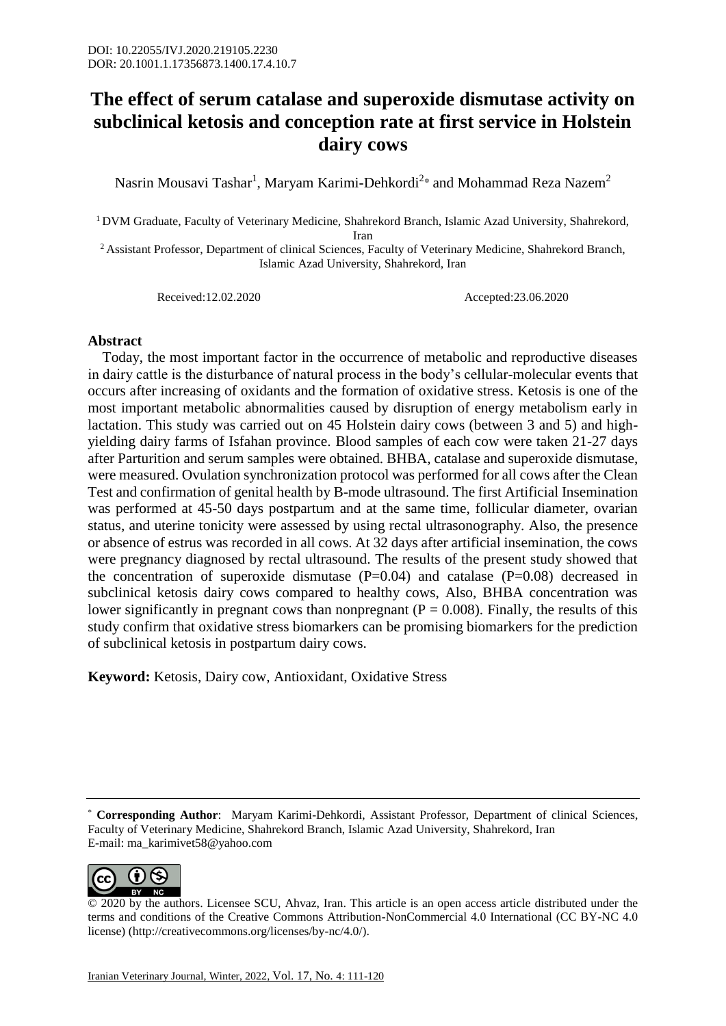## **The effect of serum catalase and superoxide dismutase activity on subclinical ketosis and conception rate at first service in Holstein dairy cows**

Nasrin Mousavi Tashar $^{\rm l}$ , Maryam Karimi-Dehkordi $^{\rm 2*}$  and Mohammad Reza Nazem $^{\rm 2}$ 

<sup>1</sup> DVM Graduate, Faculty of Veterinary Medicine, Shahrekord Branch, Islamic Azad University, Shahrekord, Iran

<sup>2</sup> Assistant Professor, Department of clinical Sciences, Faculty of Veterinary Medicine, Shahrekord Branch, Islamic Azad University, Shahrekord, Iran

Received:12.02.2020 Accepted:23.06.2020

## **Abstract**

 Today, the most important factor in the occurrence of metabolic and reproductive diseases in dairy cattle is the disturbance of natural process in the body's cellular-molecular events that occurs after increasing of oxidants and the formation of oxidative stress. Ketosis is one of the most important metabolic abnormalities caused by disruption of energy metabolism early in lactation. This study was carried out on 45 Holstein dairy cows (between 3 and 5) and highyielding dairy farms of Isfahan province. Blood samples of each cow were taken 21-27 days after Parturition and serum samples were obtained. BHBA, catalase and superoxide dismutase, were measured. Ovulation synchronization protocol was performed for all cows after the Clean Test and confirmation of genital health by B-mode ultrasound. The first Artificial Insemination was performed at 45-50 days postpartum and at the same time, follicular diameter, ovarian status, and uterine tonicity were assessed by using rectal ultrasonography. Also, the presence or absence of estrus was recorded in all cows. At 32 days after artificial insemination, the cows were pregnancy diagnosed by rectal ultrasound. The results of the present study showed that the concentration of superoxide dismutase  $(P=0.04)$  and catalase  $(P=0.08)$  decreased in subclinical ketosis dairy cows compared to healthy cows, Also, BHBA concentration was lower significantly in pregnant cows than nonpregnant ( $P = 0.008$ ). Finally, the results of this study confirm that oxidative stress biomarkers can be promising biomarkers for the prediction of subclinical ketosis in postpartum dairy cows.

**Keyword:** Ketosis, Dairy cow, Antioxidant, Oxidative Stress

<sup>\*</sup> **Corresponding Author**: Maryam Karimi-Dehkordi, Assistant Professor, Department of clinical Sciences, Faculty of Veterinary Medicine, Shahrekord Branch, Islamic Azad University, Shahrekord, Iran E-mail: ma\_karimivet58@yahoo.com



<sup>© 2020</sup> by the authors. Licensee SCU, Ahvaz, Iran. This article is an open access article distributed under the terms and conditions of the Creative Commons Attribution-NonCommercial 4.0 International (CC BY-NC 4.0 license) (http://creativecommons.org/licenses/by-nc/4.0/).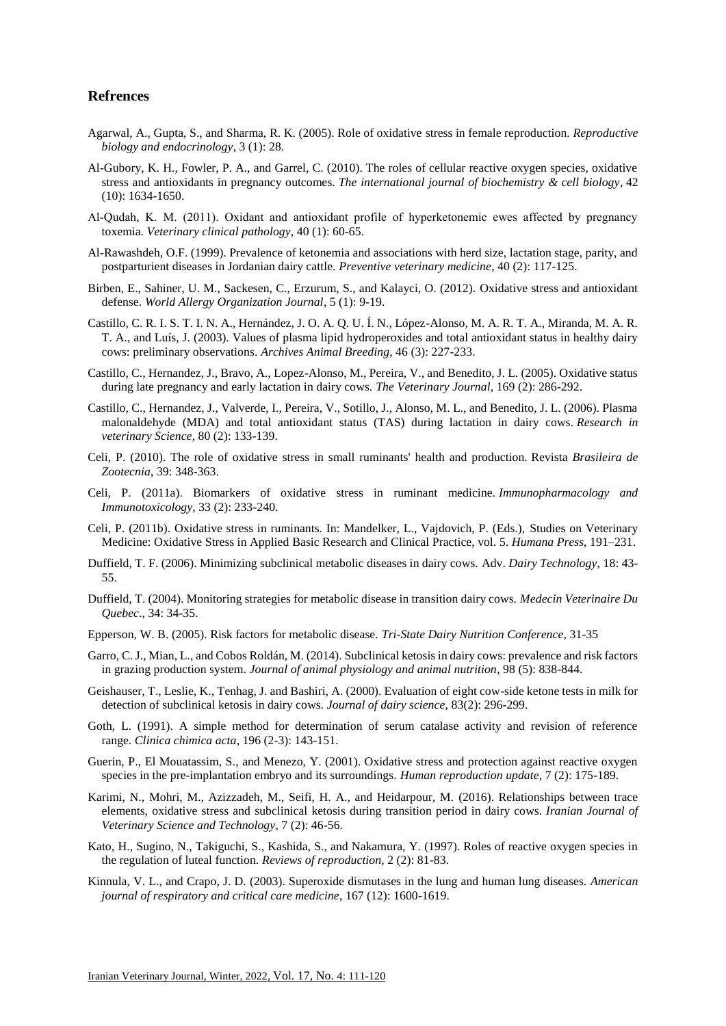## **Refrences**

- Agarwal, A., Gupta, S., and Sharma, R. K. (2005). Role of oxidative stress in female reproduction. *Reproductive biology and endocrinology*, 3 (1): 28.
- Al-Gubory, K. H., Fowler, P. A., and Garrel, C. (2010). The roles of cellular reactive oxygen species, oxidative stress and antioxidants in pregnancy outcomes. *The international journal of biochemistry & cell biology*, 42 (10): 1634-1650.
- Al‐Qudah, K. M. (2011). Oxidant and antioxidant profile of hyperketonemic ewes affected by pregnancy toxemia. *Veterinary clinical pathology*, 40 (1): 60-65.
- Al-Rawashdeh, O.F. (1999). Prevalence of ketonemia and associations with herd size, lactation stage, parity, and postparturient diseases in Jordanian dairy cattle. *Preventive veterinary medicine*, 40 (2): 117-125.
- Birben, E., Sahiner, U. M., Sackesen, C., Erzurum, S., and Kalayci, O. (2012). Oxidative stress and antioxidant defense. *World Allergy Organization Journal*, 5 (1): 9-19.
- Castillo, C. R. I. S. T. I. N. A., Hernández, J. O. A. Q. U. Í. N., López-Alonso, M. A. R. T. A., Miranda, M. A. R. T. A., and Luís, J. (2003). Values of plasma lipid hydroperoxides and total antioxidant status in healthy dairy cows: preliminary observations. *Archives Animal Breeding*, 46 (3): 227-233.
- Castillo, C., Hernandez, J., Bravo, A., Lopez-Alonso, M., Pereira, V., and Benedito, J. L. (2005). Oxidative status during late pregnancy and early lactation in dairy cows. *The Veterinary Journal*, 169 (2): 286-292.
- Castillo, C., Hernandez, J., Valverde, I., Pereira, V., Sotillo, J., Alonso, M. L., and Benedito, J. L. (2006). Plasma malonaldehyde (MDA) and total antioxidant status (TAS) during lactation in dairy cows. *Research in veterinary Science*, 80 (2): 133-139.
- Celi, P. (2010). The role of oxidative stress in small ruminants' health and production. Revista *Brasileira de Zootecnia*, 39: 348-363.
- Celi, P. (2011a). Biomarkers of oxidative stress in ruminant medicine. *Immunopharmacology and Immunotoxicology*, 33 (2): 233-240.
- Celi, P. (2011b). Oxidative stress in ruminants. In: Mandelker, L., Vajdovich, P. (Eds.), Studies on Veterinary Medicine: Oxidative Stress in Applied Basic Research and Clinical Practice, vol. 5. *Humana Press*, 191–231.
- Duffield, T. F. (2006). Minimizing subclinical metabolic diseases in dairy cows. Adv. *Dairy Technology*, 18: 43- 55.
- Duffield, T. (2004). Monitoring strategies for metabolic disease in transition dairy cows. *Medecin Veterinaire Du Quebec*., 34: 34-35.
- Epperson, W. B. (2005). Risk factors for metabolic disease. *Tri-State Dairy Nutrition Conference*, 31-35
- Garro, C. J., Mian, L., and Cobos Roldán, M. (2014). Subclinical ketosis in dairy cows: prevalence and risk factors in grazing production system. *Journal of animal physiology and animal nutrition*, 98 (5): 838-844.
- Geishauser, T., Leslie, K., Tenhag, J. and Bashiri, A. (2000). Evaluation of eight cow-side ketone tests in milk for detection of subclinical ketosis in dairy cows. *Journal of dairy science*, 83(2): 296-299.
- Goth, L. (1991). A simple method for determination of serum catalase activity and revision of reference range. *Clinica chimica acta*, 196 (2-3): 143-151.
- Guerin, P., El Mouatassim, S., and Menezo, Y. (2001). Oxidative stress and protection against reactive oxygen species in the pre-implantation embryo and its surroundings. *Human reproduction update*, 7 (2): 175-189.
- Karimi, N., Mohri, M., Azizzadeh, M., Seifi, H. A., and Heidarpour, M. (2016). Relationships between trace elements, oxidative stress and subclinical ketosis during transition period in dairy cows. *Iranian Journal of Veterinary Science and Technology*, 7 (2): 46-56.
- Kato, H., Sugino, N., Takiguchi, S., Kashida, S., and Nakamura, Y. (1997). Roles of reactive oxygen species in the regulation of luteal function. *Reviews of reproduction*, 2 (2): 81-83.
- Kinnula, V. L., and Crapo, J. D. (2003). Superoxide dismutases in the lung and human lung diseases. *American journal of respiratory and critical care medicine*, 167 (12): 1600-1619.